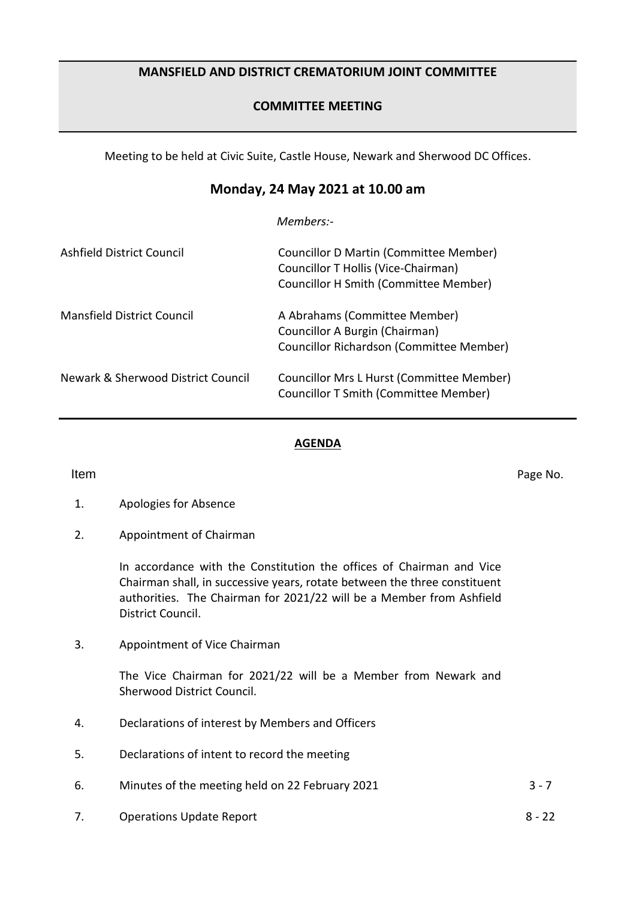# **MANSFIELD AND DISTRICT CREMATORIUM JOINT COMMITTEE**

# **COMMITTEE MEETING**

Meeting to be held at Civic Suite, Castle House, Newark and Sherwood DC Offices.

# **Monday, 24 May 2021 at 10.00 am**

*Members:-*

| Ashfield District Council          | <b>Councillor D Martin (Committee Member)</b><br>Councillor T Hollis (Vice-Chairman)<br>Councillor H Smith (Committee Member) |
|------------------------------------|-------------------------------------------------------------------------------------------------------------------------------|
| <b>Mansfield District Council</b>  | A Abrahams (Committee Member)<br>Councillor A Burgin (Chairman)<br>Councillor Richardson (Committee Member)                   |
| Newark & Sherwood District Council | Councillor Mrs L Hurst (Committee Member)<br>Councillor T Smith (Committee Member)                                            |

### **AGENDA**

**Item** Page No.

- 1. Apologies for Absence
- 2. Appointment of Chairman

In accordance with the Constitution the offices of Chairman and Vice Chairman shall, in successive years, rotate between the three constituent authorities. The Chairman for 2021/22 will be a Member from Ashfield District Council.

3. Appointment of Vice Chairman

The Vice Chairman for 2021/22 will be a Member from Newark and Sherwood District Council.

- 4. Declarations of interest by Members and Officers
- 5. Declarations of intent to record the meeting
- 6. Minutes of the meeting held on 22 February 2021 3 7
- 7. Operations Update Report 8 22